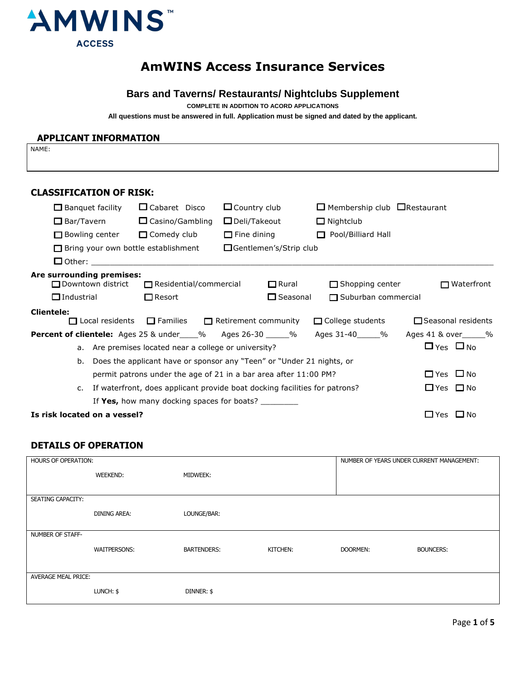

# **AmWINS Access Insurance Services**

## **Bars and Taverns/ Restaurants/ Nightclubs Supplement**

**COMPLETE IN ADDITION TO ACORD APPLICATIONS**

**All questions must be answered in full. Application must be signed and dated bythe applicant.**

#### **APPLICANT INFORMATION**

NAME:

### **CLASSIFICATION OF RISK:**

| $\Box$ Banquet facility      |                        | $\Box$ Cabaret Disco                                  | $\Box$ Country club                                                        | $\Box$ Membership club $\Box$ Restaurant |                           |
|------------------------------|------------------------|-------------------------------------------------------|----------------------------------------------------------------------------|------------------------------------------|---------------------------|
| $\square$ Bar/Tavern         |                        | $\Box$ Casino/Gambling                                | $\square$ Deli/Takeout                                                     | $\Box$ Nightclub                         |                           |
| $\Box$ Bowling center        |                        | □ Comedy club                                         | $\Box$ Fine dining                                                         | Pool/Billiard Hall                       |                           |
|                              |                        | $\Box$ Bring your own bottle establishment            | □Gentlemen's/Strip club                                                    |                                          |                           |
|                              |                        | $\Box$ Other:                                         |                                                                            |                                          |                           |
| Are surrounding premises:    | □ Downtown district    | $\Box$ Residential/commercial                         | $\Box$ Rural                                                               | $\Box$ Shopping center                   | $\Box$ Waterfront         |
| $\Box$ Industrial            |                        | $\Box$ Resort                                         | $\square$ Seasonal                                                         | $\Box$ Suburban commercial               |                           |
| <b>Clientele:</b>            | $\Box$ Local residents |                                                       | $\Box$ Families $\Box$ Retirement community                                | $\Box$ College students                  | $\Box$ Seasonal residents |
|                              |                        |                                                       | <b>Percent of clientele:</b> Ages 25 & under____% Ages 26-30 _____%        | Ages 31-40______%                        | Ages 41 & over______%     |
|                              |                        | a. Are premises located near a college or university? |                                                                            |                                          | $\Box$ Yes $\Box$ No      |
| b.                           |                        |                                                       | Does the applicant have or sponsor any "Teen" or "Under 21 nights, or      |                                          |                           |
|                              |                        |                                                       | permit patrons under the age of 21 in a bar area after 11:00 PM?           |                                          | $\Box$ Yes $\Box$ No      |
| $\mathsf{C}$ .               |                        |                                                       | If waterfront, does applicant provide boat docking facilities for patrons? |                                          | $\Box$ Yes $\Box$ No      |
|                              |                        |                                                       | If Yes, how many docking spaces for boats?                                 |                                          |                           |
| Is risk located on a vessel? |                        |                                                       |                                                                            |                                          | $\Box$ Yes $\Box$ No      |

### **DETAILS OF OPERATION**

| HOURS OF OPERATION:        |                     |                    |          | NUMBER OF YEARS UNDER CURRENT MANAGEMENT: |                  |
|----------------------------|---------------------|--------------------|----------|-------------------------------------------|------------------|
|                            | <b>WEEKEND:</b>     | <b>MIDWEEK:</b>    |          |                                           |                  |
|                            |                     |                    |          |                                           |                  |
| <b>SEATING CAPACITY:</b>   |                     |                    |          |                                           |                  |
|                            | <b>DINING AREA:</b> | LOUNGE/BAR:        |          |                                           |                  |
|                            |                     |                    |          |                                           |                  |
| NUMBER OF STAFF-           |                     |                    |          |                                           |                  |
|                            | <b>WAITPERSONS:</b> | <b>BARTENDERS:</b> | KITCHEN: | DOORMEN:                                  | <b>BOUNCERS:</b> |
|                            |                     |                    |          |                                           |                  |
| <b>AVERAGE MEAL PRICE:</b> |                     |                    |          |                                           |                  |
|                            | LUNCH: \$           | DINNER: \$         |          |                                           |                  |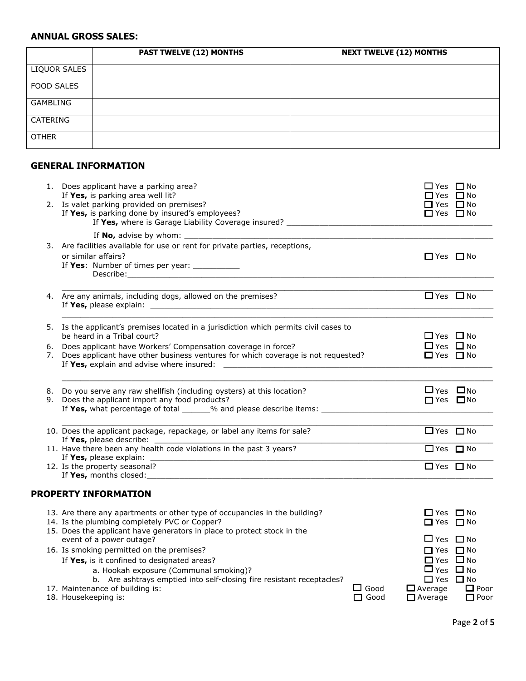## **ANNUAL GROSS SALES:**

|                   | <b>PAST TWELVE (12) MONTHS</b> | <b>NEXT TWELVE (12) MONTHS</b> |
|-------------------|--------------------------------|--------------------------------|
| LIQUOR SALES      |                                |                                |
| <b>FOOD SALES</b> |                                |                                |
| <b>GAMBLING</b>   |                                |                                |
| CATERING          |                                |                                |
| <b>OTHER</b>      |                                |                                |

## **GENERAL INFORMATION**

|          | 1. Does applicant have a parking area?<br>If Yes, is parking area well lit?<br>2. Is valet parking provided on premises?                                                                                                                                                                                | $\Box$ Yes $\Box$ No<br>⊐Yes □No<br>□ Yes □ No                                                                                                                 |
|----------|---------------------------------------------------------------------------------------------------------------------------------------------------------------------------------------------------------------------------------------------------------------------------------------------------------|----------------------------------------------------------------------------------------------------------------------------------------------------------------|
|          | If Yes, is parking done by insured's employees?<br>If Yes, where is Garage Liability Coverage insured? The Commission of the Commission of the Commission of the Commission of the Commission of the Commission of the Commission of the Commission of the Commission of the Comm                       | $\Box$ Yes $\Box$ No                                                                                                                                           |
|          | 3. Are facilities available for use or rent for private parties, receptions,<br>or similar affairs?<br>If Yes: Number of times per year: ___________                                                                                                                                                    | $\Box$ Yes $\Box$ No                                                                                                                                           |
|          | 4. Are any animals, including dogs, allowed on the premises?                                                                                                                                                                                                                                            | $\Box$ Yes $\Box$ No                                                                                                                                           |
|          | 5. Is the applicant's premises located in a jurisdiction which permits civil cases to<br>be heard in a Tribal court?                                                                                                                                                                                    | $\Box$ Yes $\Box$ No                                                                                                                                           |
| 6.<br>7. | Does applicant have Workers' Compensation coverage in force?<br>Does applicant have other business ventures for which coverage is not requested?                                                                                                                                                        | $\Box$ Yes $\Box$ No<br>$\Box$ Yes $\Box$ No                                                                                                                   |
| 8.<br>9. | Do you serve any raw shellfish (including oysters) at this location?<br>Does the applicant import any food products?                                                                                                                                                                                    | $\Box$ Yes $\Box$ No<br>$\Box$ Yes $\Box$ No                                                                                                                   |
|          | 10. Does the applicant package, repackage, or label any items for sale?                                                                                                                                                                                                                                 | $\Box$ Yes $\Box$ No                                                                                                                                           |
|          | If Yes, please describe: $\overline{\phantom{a}}$<br>11. Have there been any health code violations in the past 3 years?<br>If Yes, please explain:<br><u> 2000 - Jan James James Jan James James James James James James James James James James James James James Jam</u>                             | $\Box$ Yes $\Box$ No                                                                                                                                           |
|          | 12. Is the property seasonal?<br>If Yes, months closed: <u>the contract of the contract of the contract of the contract of the contract of the contract of the contract of the contract of the contract of the contract of the contract of the contract of the co</u>                                   | $\Box$ Yes $\Box$ No                                                                                                                                           |
|          | <b>PROPERTY INFORMATION</b>                                                                                                                                                                                                                                                                             |                                                                                                                                                                |
|          | 13. Are there any apartments or other type of occupancies in the building?<br>14. Is the plumbing completely PVC or Copper?<br>15. Does the applicant have generators in place to protect stock in the<br>event of a power outage?                                                                      | $\Box$ Yes $\Box$ No<br>□ Yes □ No<br>$\Box$ Yes $\Box$ No                                                                                                     |
|          | 16. Is smoking permitted on the premises?<br>If Yes, is it confined to designated areas?<br>a. Hookah exposure (Communal smoking)?<br>b. Are ashtrays emptied into self-closing fire resistant receptacles?<br>17. Maintenance of building is:<br>$\square$ Good<br>18. Housekeeping is:<br>$\Box$ Good | $\Box$ Yes $\Box$ No<br>$\Box$ Yes $\Box$ No<br>$\Box$ Yes $\Box$ No<br>$\Box$ Yes $\Box$ No<br>$\Box$ Average<br>$\Box$ Poor<br>$\Box$ Average<br>$\Box$ Poor |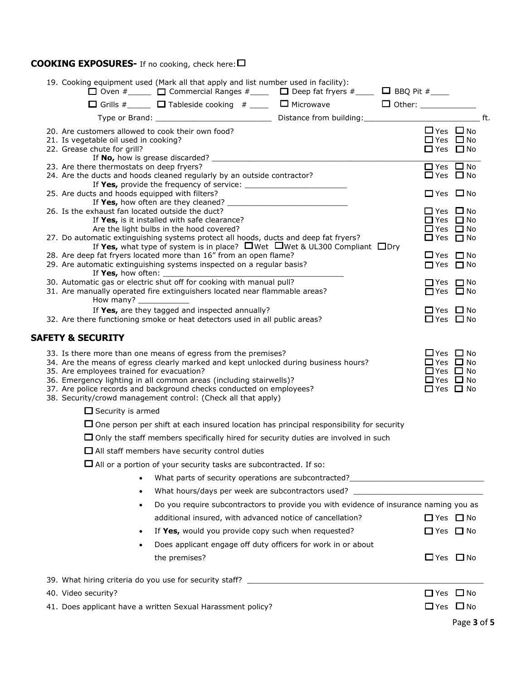## **COOKING EXPOSURES-** If no cooking, check here:

|  |                                                                                                                                                                                                                                                                                                                                                                                                                  |  |                                                                                                            | Page 3 of 5 |  |
|--|------------------------------------------------------------------------------------------------------------------------------------------------------------------------------------------------------------------------------------------------------------------------------------------------------------------------------------------------------------------------------------------------------------------|--|------------------------------------------------------------------------------------------------------------|-------------|--|
|  | 41. Does applicant have a written Sexual Harassment policy?                                                                                                                                                                                                                                                                                                                                                      |  | □ Yes □ No                                                                                                 |             |  |
|  | 40. Video security?                                                                                                                                                                                                                                                                                                                                                                                              |  | □ Yes □ No                                                                                                 |             |  |
|  |                                                                                                                                                                                                                                                                                                                                                                                                                  |  |                                                                                                            |             |  |
|  | the premises?                                                                                                                                                                                                                                                                                                                                                                                                    |  | $\Box$ Yes $\Box$ No                                                                                       |             |  |
|  | Does applicant engage off duty officers for work in or about<br>$\bullet$                                                                                                                                                                                                                                                                                                                                        |  |                                                                                                            |             |  |
|  | If Yes, would you provide copy such when requested?<br>$\bullet$                                                                                                                                                                                                                                                                                                                                                 |  | $\Box$ Yes $\Box$ No                                                                                       |             |  |
|  | additional insured, with advanced notice of cancellation?                                                                                                                                                                                                                                                                                                                                                        |  | $\Box$ Yes $\Box$ No                                                                                       |             |  |
|  | Do you require subcontractors to provide you with evidence of insurance naming you as<br>$\bullet$                                                                                                                                                                                                                                                                                                               |  |                                                                                                            |             |  |
|  | What hours/days per week are subcontractors used? ______________________________<br>$\bullet$                                                                                                                                                                                                                                                                                                                    |  |                                                                                                            |             |  |
|  | What parts of security operations are subcontracted? ___________________________                                                                                                                                                                                                                                                                                                                                 |  |                                                                                                            |             |  |
|  | $\Box$ All or a portion of your security tasks are subcontracted. If so:                                                                                                                                                                                                                                                                                                                                         |  |                                                                                                            |             |  |
|  | $\Box$ All staff members have security control duties                                                                                                                                                                                                                                                                                                                                                            |  |                                                                                                            |             |  |
|  | $\Box$ Only the staff members specifically hired for security duties are involved in such                                                                                                                                                                                                                                                                                                                        |  |                                                                                                            |             |  |
|  | $\Box$ One person per shift at each insured location has principal responsibility for security                                                                                                                                                                                                                                                                                                                   |  |                                                                                                            |             |  |
|  | $\Box$ Security is armed                                                                                                                                                                                                                                                                                                                                                                                         |  |                                                                                                            |             |  |
|  | 33. Is there more than one means of egress from the premises?<br>34. Are the means of egress clearly marked and kept unlocked during business hours?<br>35. Are employees trained for evacuation?<br>36. Emergency lighting in all common areas (including stairwells)?<br>37. Are police records and background checks conducted on employees?<br>38. Security/crowd management control: (Check all that apply) |  | $\Box$ Yes $\Box$ No<br>□ Yes □ No<br>$\Box$ Yes $\Box$ No<br>$\Box$ Yes $\Box$ No<br>$\Box$ Yes $\Box$ No |             |  |
|  | SAFETY & SECURITY                                                                                                                                                                                                                                                                                                                                                                                                |  |                                                                                                            |             |  |
|  | If Yes, are they tagged and inspected annually?<br>32. Are there functioning smoke or heat detectors used in all public areas?                                                                                                                                                                                                                                                                                   |  | $\Box$ Yes $\Box$ No<br>$\Box$ Yes $\Box$ No                                                               |             |  |
|  | 30. Automatic gas or electric shut off for cooking with manual pull?<br>31. Are manually operated fire extinguishers located near flammable areas?<br>How many? $\frac{1}{\sqrt{1-\frac{1}{2}}}\$                                                                                                                                                                                                                |  | $\Box$ Yes $\Box$ No<br>□ Yes □ No                                                                         |             |  |
|  | If Yes, what type of system is in place? $\Box$ Wet $\Box$ Wet & UL300 Compliant $\Box$ Dry<br>28. Are deep fat fryers located more than 16" from an open flame?<br>29. Are automatic extinguishing systems inspected on a regular basis?                                                                                                                                                                        |  | $\Box$ Yes $\Box$ No<br>$\Box$ Yes $\Box$ No                                                               |             |  |
|  | 26. Is the exhaust fan located outside the duct?<br>If Yes, is it installed with safe clearance?<br>Are the light bulbs in the hood covered?<br>27. Do automatic extinguishing systems protect all hoods, ducts and deep fat fryers?                                                                                                                                                                             |  | $\Box$ Yes $\Box$ No<br>□ Yes □ No<br>$\Box$ Yes $\Box$ No<br>$\Box$ Yes $\Box$ No                         |             |  |
|  | 25. Are ducts and hoods equipped with filters?                                                                                                                                                                                                                                                                                                                                                                   |  | $\Box$ Yes $\Box$ No                                                                                       |             |  |
|  | 24. Are the ducts and hoods cleaned regularly by an outside contractor?                                                                                                                                                                                                                                                                                                                                          |  | $\Box$ Yes $\Box$ No                                                                                       |             |  |
|  | 20. Are customers allowed to cook their own food?<br>21. Is vegetable oil used in cooking?<br>22. Grease chute for grill?<br>23. Are there thermostats on deep fryers?                                                                                                                                                                                                                                           |  | $\Box$ Yes $\Box$ No<br>$\Box$ Yes $\Box$ No<br>$\Box$ Yes $\Box$ No                                       |             |  |
|  |                                                                                                                                                                                                                                                                                                                                                                                                                  |  | $\Box$ Yes $\Box$ No                                                                                       |             |  |
|  |                                                                                                                                                                                                                                                                                                                                                                                                                  |  |                                                                                                            |             |  |
|  | 19. Cooking equipment used (Mark all that apply and list number used in facility):<br>$\Box$ Oven $\#$ $\Box$ $\Box$ Commercial Ranges $\#$ $\Box$ Deep fat fryers $\#$ $\Box$ BBQ Pit $\#$ $\Box$                                                                                                                                                                                                               |  |                                                                                                            |             |  |
|  |                                                                                                                                                                                                                                                                                                                                                                                                                  |  |                                                                                                            |             |  |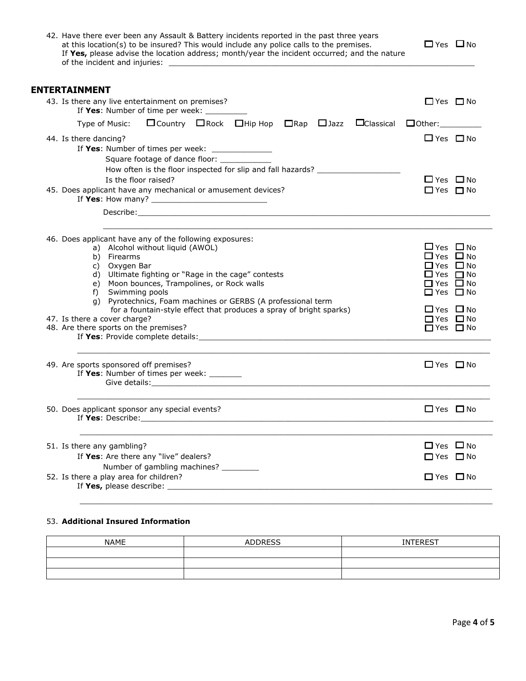| 42. Have there ever been any Assault & Battery incidents reported in the past three years<br>at this location(s) to be insured? This would include any police calls to the premises.<br>If Yes, please advise the location address; month/year the incident occurred; and the nature                                                                                                                                                                                      | $\Box$ Yes $\Box$ No                                                                                                                                                                   |
|---------------------------------------------------------------------------------------------------------------------------------------------------------------------------------------------------------------------------------------------------------------------------------------------------------------------------------------------------------------------------------------------------------------------------------------------------------------------------|----------------------------------------------------------------------------------------------------------------------------------------------------------------------------------------|
| <b>ENTERTAINMENT</b>                                                                                                                                                                                                                                                                                                                                                                                                                                                      |                                                                                                                                                                                        |
| 43. Is there any live entertainment on premises?<br>If Yes: Number of time per week: ______                                                                                                                                                                                                                                                                                                                                                                               | $\Box$ Yes $\Box$ No                                                                                                                                                                   |
|                                                                                                                                                                                                                                                                                                                                                                                                                                                                           |                                                                                                                                                                                        |
| 44. Is there dancing?<br>If Yes: Number of times per week: ______________<br>Square footage of dance floor:<br>How often is the floor inspected for slip and fall hazards? ____________________<br>Is the floor raised?                                                                                                                                                                                                                                                   | $\Box$ Yes $\Box$ No<br>$\Box$ Yes $\Box$ No                                                                                                                                           |
| 45. Does applicant have any mechanical or amusement devices?                                                                                                                                                                                                                                                                                                                                                                                                              | $\Box$ Yes $\Box$ No                                                                                                                                                                   |
|                                                                                                                                                                                                                                                                                                                                                                                                                                                                           |                                                                                                                                                                                        |
| 46. Does applicant have any of the following exposures:<br>a) Alcohol without liquid (AWOL)<br>b) Firearms<br>c) Oxygen Bar<br>d) Ultimate fighting or "Rage in the cage" contests<br>e) Moon bounces, Trampolines, or Rock walls<br>Swimming pools<br>f)<br>g) Pyrotechnics, Foam machines or GERBS (A professional term<br>for a fountain-style effect that produces a spray of bright sparks)<br>47. Is there a cover charge?<br>48. Are there sports on the premises? | $\Box$ Yes $\Box$ No<br>$\Box$ Yes $\Box$ No<br>$\Box$ Yes $\Box$ No<br>$\Box$ Yes $\Box$ No<br>□ Yes □ No<br>□ Yes □ No<br>$\Box$ Yes $\Box$ No<br>$\Box$ Yes $\Box$ No<br>□ Yes □ No |
| 49. Are sports sponsored off premises?<br>If Yes: Number of times per week: _______                                                                                                                                                                                                                                                                                                                                                                                       | $\Box$ Yes $\Box$ No                                                                                                                                                                   |
| 50. Does applicant sponsor any special events?                                                                                                                                                                                                                                                                                                                                                                                                                            | $\Box$ Yes $\Box$ No                                                                                                                                                                   |
| 51. Is there any gambling?<br>If Yes: Are there any "live" dealers?<br>Number of gambling machines? ________<br>52. Is there a play area for children?                                                                                                                                                                                                                                                                                                                    | $\Box$ Yes $\Box$ No<br>$\Box$ Yes $\Box$ No<br>□ Yes □ No                                                                                                                             |

### 53. **Additional Insured Information**

| <b>NAME</b> | <b>ADDRESS</b> | <b>INTEREST</b> |
|-------------|----------------|-----------------|
|             |                |                 |
|             |                |                 |
|             |                |                 |

\_\_\_\_\_\_\_\_\_\_\_\_\_\_\_\_\_\_\_\_\_\_\_\_\_\_\_\_\_\_\_\_\_\_\_\_\_\_\_\_\_\_\_\_\_\_\_\_\_\_\_\_\_\_\_\_\_\_\_\_\_\_\_\_\_\_\_\_\_\_\_\_\_\_\_\_\_\_\_\_\_\_\_\_\_\_\_\_\_